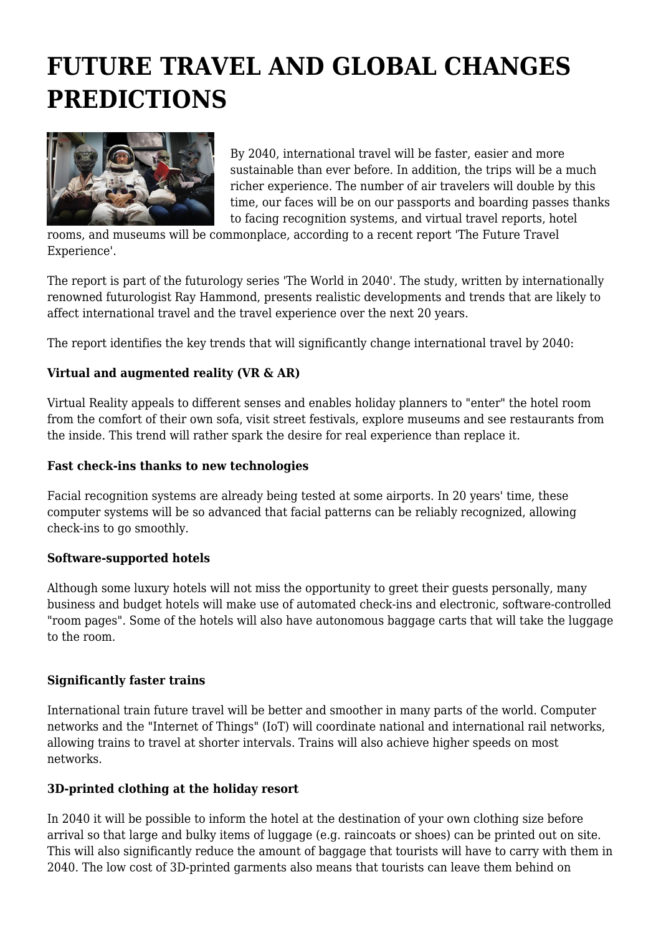# **FUTURE TRAVEL AND GLOBAL CHANGES PREDICTIONS**



By 2040, international travel will be faster, easier and more sustainable than ever before. In addition, the trips will be a much richer experience. The number of air travelers will double by this time, our faces will be on our passports and boarding passes thanks to facing recognition systems, and virtual travel reports, hotel

rooms, and museums will be commonplace, according to a recent report 'The Future Travel Experience'.

The report is part of the futurology series 'The World in 2040'. The study, written by internationally renowned futurologist Ray Hammond, presents realistic developments and trends that are likely to affect international travel and the travel experience over the next 20 years.

The report identifies the key trends that will significantly change international travel by 2040:

# **Virtual and augmented reality (VR & AR)**

Virtual Reality appeals to different senses and enables holiday planners to "enter" the hotel room from the comfort of their own sofa, visit street festivals, explore museums and see restaurants from the inside. This trend will rather spark the desire for real experience than replace it.

## **Fast check-ins thanks to new technologies**

Facial recognition systems are already being tested at some airports. In 20 years' time, these computer systems will be so advanced that facial patterns can be reliably recognized, allowing check-ins to go smoothly.

#### **Software-supported hotels**

Although some luxury hotels will not miss the opportunity to greet their guests personally, many business and budget hotels will make use of automated check-ins and electronic, software-controlled "room pages". Some of the hotels will also have autonomous baggage carts that will take the luggage to the room.

#### **Significantly faster trains**

International train future travel will be better and smoother in many parts of the world. Computer networks and the "Internet of Things" (IoT) will coordinate national and international rail networks, allowing trains to travel at shorter intervals. Trains will also achieve higher speeds on most networks.

# **3D-printed clothing at the holiday resort**

In 2040 it will be possible to inform the hotel at the destination of your own clothing size before arrival so that large and bulky items of luggage (e.g. raincoats or shoes) can be printed out on site. This will also significantly reduce the amount of baggage that tourists will have to carry with them in 2040. The low cost of 3D-printed garments also means that tourists can leave them behind on